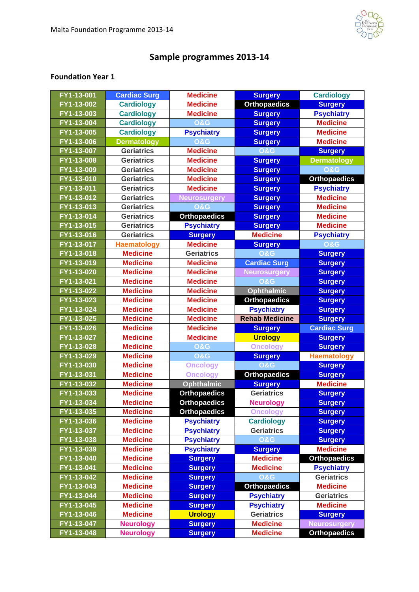

## **Sample programmes 2013-14**

## **Foundation Year 1**

| FY1-13-001               | <b>Cardiac Surg</b>                  | <b>Medicine</b>                  | <b>Surgery</b>                     | <b>Cardiology</b>                          |
|--------------------------|--------------------------------------|----------------------------------|------------------------------------|--------------------------------------------|
| $FY1 - 13 - 002$         | <b>Cardiology</b>                    | <b>Medicine</b>                  | <b>Orthopaedics</b>                | <b>Surgery</b>                             |
| FY1-13-003               | <b>Cardiology</b>                    | <b>Medicine</b>                  | <b>Surgery</b>                     | <b>Psychiatry</b>                          |
| FY1-13-004               | <b>Cardiology</b>                    | <b>0&amp;G</b>                   | <b>Surgery</b>                     | <b>Medicine</b>                            |
| FY1-13-005               | <b>Cardiology</b>                    | <b>Psychiatry</b>                | <b>Surgery</b>                     | <b>Medicine</b>                            |
| FY1-13-006               | <b>Dermatology</b>                   | <b>O&amp;G</b>                   | <b>Surgery</b>                     | <b>Medicine</b>                            |
| FY1-13-007               | <b>Geriatrics</b>                    | <b>Medicine</b>                  | <b>O&amp;G</b>                     | <b>Surgery</b>                             |
| FY1-13-008               | <b>Geriatrics</b>                    | <b>Medicine</b>                  | <b>Surgery</b>                     | <b>Dermatology</b>                         |
| FY1-13-009               | <b>Geriatrics</b>                    | <b>Medicine</b>                  | <b>Surgery</b>                     | <b>O&amp;G</b>                             |
| FY1-13-010               | <b>Geriatrics</b>                    | <b>Medicine</b>                  | <b>Surgery</b>                     | <b>Orthopaedics</b>                        |
| FY1-13-011               | <b>Geriatrics</b>                    | <b>Medicine</b>                  | <b>Surgery</b>                     | <b>Psychiatry</b>                          |
| FY1-13-012               | <b>Geriatrics</b>                    | <b>Neurosurgery</b>              | <b>Surgery</b>                     | <b>Medicine</b>                            |
| FY1-13-013               | <b>Geriatrics</b>                    | <b>O&amp;G</b>                   | <b>Surgery</b>                     | <b>Medicine</b>                            |
| FY1-13-014               | <b>Geriatrics</b>                    | <b>Orthopaedics</b>              | <b>Surgery</b>                     | <b>Medicine</b>                            |
| FY1-13-015               | <b>Geriatrics</b>                    | <b>Psychiatry</b>                | <b>Surgery</b>                     | <b>Medicine</b>                            |
| FY1-13-016               | <b>Geriatrics</b>                    | <b>Surgery</b>                   | <b>Medicine</b>                    | <b>Psychiatry</b>                          |
| FY1-13-017               | <b>Haematology</b>                   | <b>Medicine</b>                  | <b>Surgery</b>                     | <b>O&amp;G</b>                             |
| FY1-13-018               | <b>Medicine</b>                      | <b>Geriatrics</b>                | <b>O&amp;G</b>                     | <b>Surgery</b>                             |
| FY1-13-019               | <b>Medicine</b>                      | <b>Medicine</b>                  | <b>Cardiac Surg</b>                | <b>Surgery</b>                             |
| FY1-13-020               | <b>Medicine</b>                      | <b>Medicine</b>                  | <b>Neurosurgery</b>                | <b>Surgery</b>                             |
| FY1-13-021               | <b>Medicine</b>                      | <b>Medicine</b>                  | <b>O&amp;G</b>                     | <b>Surgery</b>                             |
| FY1-13-022               | <b>Medicine</b>                      | <b>Medicine</b>                  | <b>Ophthalmic</b>                  | <b>Surgery</b>                             |
| FY1-13-023               | <b>Medicine</b>                      | <b>Medicine</b>                  | <b>Orthopaedics</b>                | <b>Surgery</b>                             |
| FY1-13-024               | <b>Medicine</b>                      | <b>Medicine</b>                  | <b>Psychiatry</b>                  | <b>Surgery</b>                             |
| FY1-13-025               | <b>Medicine</b>                      | <b>Medicine</b>                  | <b>Rehab Medicine</b>              | <b>Surgery</b>                             |
| FY1-13-026               | <b>Medicine</b>                      | <b>Medicine</b>                  | <b>Surgery</b>                     | <b>Cardiac Surg</b>                        |
| FY1-13-027               | <b>Medicine</b>                      | <b>Medicine</b>                  | <b>Urology</b>                     | <b>Surgery</b>                             |
| FY1-13-028               | <b>Medicine</b>                      | <b>O&amp;G</b>                   | <b>Oncology</b>                    | <b>Surgery</b>                             |
| FY1-13-029               | <b>Medicine</b>                      | <b>O&amp;G</b>                   | <b>Surgery</b>                     | <b>Haematology</b>                         |
| FY1-13-030               | <b>Medicine</b>                      | <b>Oncology</b>                  | <b>O&amp;G</b>                     | <b>Surgery</b>                             |
| FY1-13-031               | <b>Medicine</b>                      | <b>Oncology</b>                  | <b>Orthopaedics</b>                | <b>Surgery</b>                             |
| FY1-13-032               | <b>Medicine</b>                      | <b>Ophthalmic</b>                | <b>Surgery</b>                     | <b>Medicine</b>                            |
| FY1-13-033               | <b>Medicine</b>                      | <b>Orthopaedics</b>              | <b>Geriatrics</b>                  | <b>Surgery</b>                             |
| FY1-13-034               | <b>Medicine</b>                      | <b>Orthopaedics</b>              | <b>Neurology</b>                   | <b>Surgery</b>                             |
| FY1-13-035               | <b>Medicine</b>                      | <b>Orthopaedics</b>              | <b>Oncology</b>                    | <b>Surgery</b>                             |
| FY1-13-036               | <b>Medicine</b>                      | <b>Psychiatry</b>                | <b>Cardiology</b>                  | <b>Surgery</b>                             |
| $FY1 - 13 - 037$         | <b>Medicine</b>                      | <b>Psychiatry</b>                | <b>Geriatrics</b>                  | <b>Surgery</b>                             |
| FY1-13-038               | <b>Medicine</b>                      | <b>Psychiatry</b>                | <b>O&amp;G</b>                     | <b>Surgery</b>                             |
| FY1-13-039               | <b>Medicine</b>                      | <b>Psychiatry</b>                | <b>Surgery</b>                     | <b>Medicine</b>                            |
| FY1-13-040               | <b>Medicine</b>                      | <b>Surgery</b>                   | <b>Medicine</b>                    | <b>Orthopaedics</b>                        |
| FY1-13-041               | <b>Medicine</b>                      | <b>Surgery</b>                   | <b>Medicine</b>                    | <b>Psychiatry</b>                          |
| FY1-13-042               | <b>Medicine</b>                      | <b>Surgery</b>                   | <b>O&amp;G</b>                     | <b>Geriatrics</b>                          |
| FY1-13-043               | <b>Medicine</b>                      | <b>Surgery</b>                   | <b>Orthopaedics</b>                | <b>Medicine</b>                            |
| FY1-13-044               |                                      |                                  |                                    |                                            |
|                          | <b>Medicine</b>                      | <b>Surgery</b>                   | <b>Psychiatry</b>                  | <b>Geriatrics</b>                          |
| FY1-13-045               | <b>Medicine</b>                      | <b>Surgery</b>                   | <b>Psychiatry</b>                  | <b>Medicine</b>                            |
| FY1-13-046               | <b>Medicine</b>                      | <b>Urology</b>                   | <b>Geriatrics</b>                  | <b>Surgery</b>                             |
| FY1-13-047<br>FY1-13-048 | <b>Neurology</b><br><b>Neurology</b> | <b>Surgery</b><br><b>Surgery</b> | <b>Medicine</b><br><b>Medicine</b> | <b>Neurosurgery</b><br><b>Orthopaedics</b> |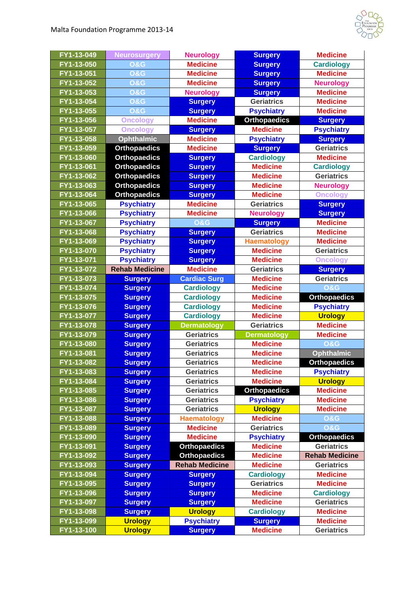

| FY1-13-049 | <b>Neurosurgery</b>   | <b>Neurology</b>      | <b>Surgery</b>      | <b>Medicine</b>       |
|------------|-----------------------|-----------------------|---------------------|-----------------------|
| FY1-13-050 | <b>O&amp;G</b>        | <b>Medicine</b>       | <b>Surgery</b>      | <b>Cardiology</b>     |
| FY1-13-051 | <b>O&amp;G</b>        | <b>Medicine</b>       | <b>Surgery</b>      | <b>Medicine</b>       |
| FY1-13-052 | <b>O&amp;G</b>        | <b>Medicine</b>       | <b>Surgery</b>      | <b>Neurology</b>      |
| FY1-13-053 | <b>O&amp;G</b>        | <b>Neurology</b>      | <b>Surgery</b>      | <b>Medicine</b>       |
| FY1-13-054 | <b>O&amp;G</b>        | <b>Surgery</b>        | <b>Geriatrics</b>   | <b>Medicine</b>       |
| FY1-13-055 | <b>O&amp;G</b>        | <b>Surgery</b>        | <b>Psychiatry</b>   | <b>Medicine</b>       |
| FY1-13-056 | <b>Oncology</b>       | <b>Medicine</b>       | <b>Orthopaedics</b> | <b>Surgery</b>        |
| FY1-13-057 | <b>Oncology</b>       | <b>Surgery</b>        | <b>Medicine</b>     | <b>Psychiatry</b>     |
| FY1-13-058 | <b>Ophthalmic</b>     | <b>Medicine</b>       | <b>Psychiatry</b>   | <b>Surgery</b>        |
| FY1-13-059 | <b>Orthopaedics</b>   | <b>Medicine</b>       | <b>Surgery</b>      | <b>Geriatrics</b>     |
| FY1-13-060 | <b>Orthopaedics</b>   | <b>Surgery</b>        | <b>Cardiology</b>   | <b>Medicine</b>       |
| FY1-13-061 | <b>Orthopaedics</b>   | <b>Surgery</b>        | <b>Medicine</b>     | <b>Cardiology</b>     |
| FY1-13-062 | <b>Orthopaedics</b>   | <b>Surgery</b>        | <b>Medicine</b>     | <b>Geriatrics</b>     |
| FY1-13-063 | <b>Orthopaedics</b>   | <b>Surgery</b>        | <b>Medicine</b>     | <b>Neurology</b>      |
| FY1-13-064 | <b>Orthopaedics</b>   | <b>Surgery</b>        | <b>Medicine</b>     | <b>Oncology</b>       |
| FY1-13-065 | <b>Psychiatry</b>     | <b>Medicine</b>       | <b>Geriatrics</b>   | <b>Surgery</b>        |
| FY1-13-066 | <b>Psychiatry</b>     | <b>Medicine</b>       | <b>Neurology</b>    | <b>Surgery</b>        |
| FY1-13-067 | <b>Psychiatry</b>     | <b>O&amp;G</b>        | <b>Surgery</b>      | <b>Medicine</b>       |
| FY1-13-068 | <b>Psychiatry</b>     | <b>Surgery</b>        | <b>Geriatrics</b>   | <b>Medicine</b>       |
| FY1-13-069 | <b>Psychiatry</b>     | <b>Surgery</b>        | <b>Haematology</b>  | <b>Medicine</b>       |
| FY1-13-070 | <b>Psychiatry</b>     | <b>Surgery</b>        | <b>Medicine</b>     | <b>Geriatrics</b>     |
| FY1-13-071 | <b>Psychiatry</b>     | <b>Surgery</b>        | <b>Medicine</b>     | <b>Oncology</b>       |
| FY1-13-072 | <b>Rehab Medicine</b> | <b>Medicine</b>       | <b>Geriatrics</b>   | <b>Surgery</b>        |
| FY1-13-073 | <b>Surgery</b>        | <b>Cardiac Surg</b>   | <b>Medicine</b>     | <b>Geriatrics</b>     |
| FY1-13-074 | <b>Surgery</b>        | <b>Cardiology</b>     | <b>Medicine</b>     | <b>O&amp;G</b>        |
| FY1-13-075 | <b>Surgery</b>        | <b>Cardiology</b>     | <b>Medicine</b>     | <b>Orthopaedics</b>   |
| FY1-13-076 | <b>Surgery</b>        | <b>Cardiology</b>     | <b>Medicine</b>     | <b>Psychiatry</b>     |
| FY1-13-077 | <b>Surgery</b>        | <b>Cardiology</b>     | <b>Medicine</b>     | <b>Urology</b>        |
| FY1-13-078 | <b>Surgery</b>        | <b>Dermatology</b>    | <b>Geriatrics</b>   | <b>Medicine</b>       |
| FY1-13-079 | <b>Surgery</b>        | <b>Geriatrics</b>     | <b>Dermatology</b>  | <b>Medicine</b>       |
| FY1-13-080 | <b>Surgery</b>        | <b>Geriatrics</b>     | <b>Medicine</b>     | <b>O&amp;G</b>        |
| FY1-13-081 | <b>Surgery</b>        | <b>Geriatrics</b>     | <b>Medicine</b>     | <b>Ophthalmic</b>     |
| FY1-13-082 | <b>Surgery</b>        | <b>Geriatrics</b>     | <b>Medicine</b>     | <b>Orthopaedics</b>   |
| FY1-13-083 | <b>Surgery</b>        | <b>Geriatrics</b>     | <b>Medicine</b>     | <b>Psychiatry</b>     |
| FY1-13-084 | <b>Surgery</b>        | <b>Geriatrics</b>     | <b>Medicine</b>     | <b>Urology</b>        |
| FY1-13-085 | <b>Surgery</b>        | <b>Geriatrics</b>     | <b>Orthopaedics</b> | <b>Medicine</b>       |
| FY1-13-086 | <b>Surgery</b>        | <b>Geriatrics</b>     | <b>Psychiatry</b>   | <b>Medicine</b>       |
| FY1-13-087 | <b>Surgery</b>        | <b>Geriatrics</b>     | <b>Urology</b>      | <b>Medicine</b>       |
| FY1-13-088 | <b>Surgery</b>        | <b>Haematology</b>    | <b>Medicine</b>     | <b>O&amp;G</b>        |
| FY1-13-089 | <b>Surgery</b>        | <b>Medicine</b>       | <b>Geriatrics</b>   | <b>O&amp;G</b>        |
| FY1-13-090 | <b>Surgery</b>        | <b>Medicine</b>       | <b>Psychiatry</b>   | <b>Orthopaedics</b>   |
| FY1-13-091 | <b>Surgery</b>        | <b>Orthopaedics</b>   | <b>Medicine</b>     | <b>Geriatrics</b>     |
| FY1-13-092 | <b>Surgery</b>        | <b>Orthopaedics</b>   | <b>Medicine</b>     | <b>Rehab Medicine</b> |
| FY1-13-093 | <b>Surgery</b>        | <b>Rehab Medicine</b> | <b>Medicine</b>     | <b>Geriatrics</b>     |
| FY1-13-094 | <b>Surgery</b>        | <b>Surgery</b>        | <b>Cardiology</b>   | <b>Medicine</b>       |
| FY1-13-095 | <b>Surgery</b>        | <b>Surgery</b>        | <b>Geriatrics</b>   | <b>Medicine</b>       |
| FY1-13-096 | <b>Surgery</b>        | <b>Surgery</b>        | <b>Medicine</b>     | <b>Cardiology</b>     |
| FY1-13-097 | <b>Surgery</b>        | <b>Surgery</b>        | <b>Medicine</b>     | <b>Geriatrics</b>     |
| FY1-13-098 | <b>Surgery</b>        | <b>Urology</b>        | <b>Cardiology</b>   | <b>Medicine</b>       |
| FY1-13-099 | <b>Urology</b>        | <b>Psychiatry</b>     | <b>Surgery</b>      | <b>Medicine</b>       |
| FY1-13-100 | <b>Urology</b>        | <b>Surgery</b>        | <b>Medicine</b>     | <b>Geriatrics</b>     |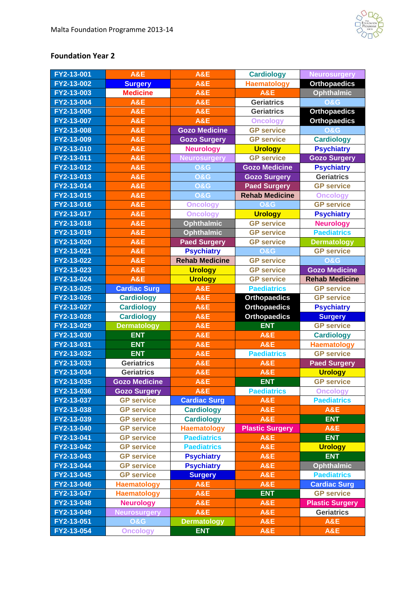

## **Foundation Year 2**

| FY2-13-001               | A&E                  | <b>A&amp;E</b>                   | <b>Cardiology</b>                | <b>Neurosurgery</b>    |
|--------------------------|----------------------|----------------------------------|----------------------------------|------------------------|
| FY2-13-002               | <b>Surgery</b>       | <b>A&amp;E</b>                   | <b>Haematology</b>               | <b>Orthopaedics</b>    |
| FY2-13-003               | <b>Medicine</b>      | A&E                              | <b>A&amp;E</b>                   | <b>Ophthalmic</b>      |
| FY2-13-004               | <b>A&amp;E</b>       | A&E                              | <b>Geriatrics</b>                | <b>O&amp;G</b>         |
| FY2-13-005               | <b>A&amp;E</b>       | <b>A&amp;E</b>                   | <b>Geriatrics</b>                | <b>Orthopaedics</b>    |
| FY2-13-007               | A&E                  | A&E                              | <b>Oncology</b>                  | <b>Orthopaedics</b>    |
| FY2-13-008               | A&E                  | <b>Gozo Medicine</b>             | <b>GP service</b>                | <b>O&amp;G</b>         |
| FY2-13-009               | A&E                  | <b>Gozo Surgery</b>              | <b>GP service</b>                | <b>Cardiology</b>      |
| FY2-13-010               | A&E                  | <b>Neurology</b>                 | <b>Urology</b>                   | <b>Psychiatry</b>      |
| FY2-13-011               | A&E                  | <b>Neurosurgery</b>              | <b>GP service</b>                | <b>Gozo Surgery</b>    |
| FY2-13-012               | A&E                  | <b>0&amp;G</b>                   | <b>Gozo Medicine</b>             | <b>Psychiatry</b>      |
| FY2-13-013               | A&E                  | <b>O&amp;G</b>                   | <b>Gozo Surgery</b>              | <b>Geriatrics</b>      |
| FY2-13-014               | <b>A&amp;E</b>       | <b>O&amp;G</b>                   | <b>Paed Surgery</b>              | <b>GP service</b>      |
| FY2-13-015               | <b>A&amp;E</b>       | <b>O&amp;G</b>                   | <b>Rehab Medicine</b>            | <b>Oncology</b>        |
| FY2-13-016               | A&E                  | <b>Oncology</b>                  | <b>O&amp;G</b>                   | <b>GP</b> service      |
| FY2-13-017               | A&E                  | <b>Oncology</b>                  | <b>Urology</b>                   | <b>Psychiatry</b>      |
| FY2-13-018               | A&E                  | <b>Ophthalmic</b>                | <b>GP service</b>                | <b>Neurology</b>       |
| FY2-13-019               | A&E                  | <b>Ophthalmic</b>                | <b>GP service</b>                | <b>Paediatrics</b>     |
| FY2-13-020               | <b>A&amp;E</b>       | <b>Paed Surgery</b>              | <b>GP</b> service                | <b>Dermatology</b>     |
| FY2-13-021               | A&E                  | <b>Psychiatry</b>                | O&G                              | <b>GP</b> service      |
| FY2-13-022               | <b>A&amp;E</b>       | <b>Rehab Medicine</b>            | <b>GP service</b>                | O&G                    |
| FY2-13-023               | <b>A&amp;E</b>       | <b>Urology</b>                   | <b>GP service</b>                | <b>Gozo Medicine</b>   |
| FY2-13-024               | A&E                  | <b>Urology</b>                   | <b>GP service</b>                | <b>Rehab Medicine</b>  |
| FY2-13-025               | <b>Cardiac Surg</b>  | <b>A&amp;E</b>                   | <b>Paediatrics</b>               | <b>GP</b> service      |
| FY2-13-026               | <b>Cardiology</b>    | A&E                              | <b>Orthopaedics</b>              | <b>GP</b> service      |
|                          |                      |                                  |                                  |                        |
| FY2-13-027               | <b>Cardiology</b>    | A&E                              | <b>Orthopaedics</b>              | <b>Psychiatry</b>      |
| FY2-13-028               | <b>Cardiology</b>    | A&E                              | <b>Orthopaedics</b>              | <b>Surgery</b>         |
| FY2-13-029               | <b>Dermatology</b>   | A&E                              | <b>ENT</b>                       | <b>GP</b> service      |
| FY2-13-030               | <b>ENT</b>           | A&E                              | <b>A&amp;E</b>                   | <b>Cardiology</b>      |
| FY2-13-031               | <b>ENT</b>           | A&E                              | A&E                              | <b>Haematology</b>     |
| FY2-13-032               | <b>ENT</b>           | A&E                              | <b>Paediatrics</b>               | <b>GP service</b>      |
| FY2-13-033               | <b>Geriatrics</b>    | A&E                              | A&E                              | <b>Paed Surgery</b>    |
| FY2-13-034               | <b>Geriatrics</b>    | A&E                              | <b>A&amp;E</b>                   | <b>Urology</b>         |
| FY2-13-035               | <b>Gozo Medicine</b> | <b>A&amp;E</b>                   | <b>ENT</b>                       | <b>GP service</b>      |
| FY2-13-036               | <b>Gozo Surgery</b>  | <b>A&amp;E</b>                   | <b>Paediatrics</b>               | <b>Oncology</b>        |
| FY2-13-037               | <b>GP</b> service    | <b>Cardiac Surg</b>              | <b>A&amp;E</b>                   | <b>Paediatrics</b>     |
| FY2-13-038               | <b>GP</b> service    | <b>Cardiology</b>                | A&E                              | <b>A&amp;E</b>         |
| FY2-13-039               | <b>GP service</b>    | <b>Cardiology</b>                | <b>A&amp;E</b>                   | <b>ENT</b>             |
| FY2-13-040               | <b>GP</b> service    | <b>Haematology</b>               | <b>Plastic Surgery</b>           | <b>A&amp;E</b>         |
| FY2-13-041               | <b>GP service</b>    | <b>Paediatrics</b>               | <b>A&amp;E</b>                   | <b>ENT</b>             |
| FY2-13-042               | <b>GP service</b>    | <b>Paediatrics</b>               | <b>A&amp;E</b>                   | <b>Urology</b>         |
| FY2-13-043               | <b>GP</b> service    | <b>Psychiatry</b>                | <b>A&amp;E</b>                   | <b>ENT</b>             |
| FY2-13-044               | <b>GP</b> service    | <b>Psychiatry</b>                | A&E                              | <b>Ophthalmic</b>      |
| FY2-13-045               | <b>GP service</b>    | <b>Surgery</b>                   | <b>A&amp;E</b>                   | <b>Paediatrics</b>     |
| FY2-13-046               | <b>Haematology</b>   | <b>A&amp;E</b>                   | <b>A&amp;E</b>                   | <b>Cardiac Surg</b>    |
| FY2-13-047               | <b>Haematology</b>   | A&E                              | <b>ENT</b>                       | <b>GP service</b>      |
| FY2-13-048               | <b>Neurology</b>     | A&E                              | <b>A&amp;E</b>                   | <b>Plastic Surgery</b> |
| FY2-13-049               | <b>Neurosurgery</b>  | <b>A&amp;E</b>                   | A&E                              | <b>Geriatrics</b>      |
| FY2-13-051<br>FY2-13-054 | <b>O&amp;G</b>       | <b>Dermatology</b><br><b>ENT</b> | <b>A&amp;E</b><br><b>A&amp;E</b> | A&E<br><b>A&amp;E</b>  |